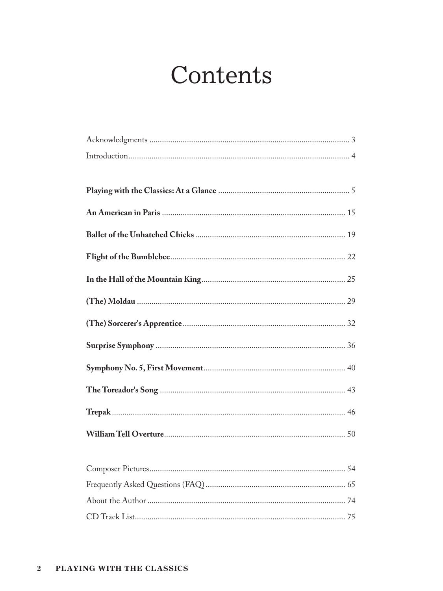## Contents

| 54 |
|----|
|    |
|    |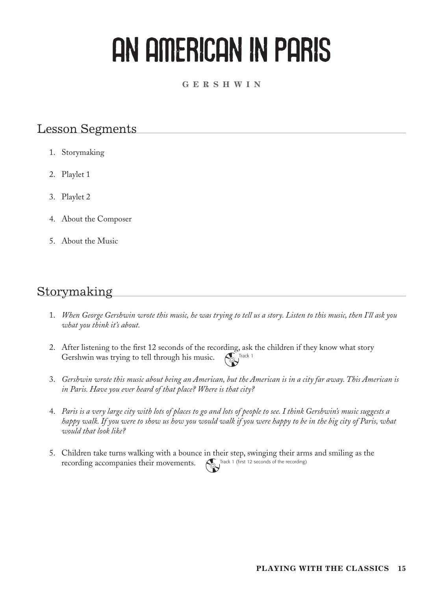# AN AMERICAN IN PARIS

#### **G e r s h w i n**

#### Lesson Segments

- 1. Storymaking
- 2. Playlet 1
- 3. Playlet 2
- 4. About the Composer
- 5. About the Music

### Storymaking

- 1. *When George Gershwin wrote this music, he was trying to tell us a story. Listen to this music, then I'll ask you what you think it's about.*
- 2. After listening to the first 12 seconds of the recording, ask the children if they know what story Gershwin was trying to tell through his music.  $\left(\begin{matrix} 1 \\ 0 \end{matrix}\right)$  Track 1
- 3. *Gershwin wrote this music about being an American, but the American is in a city far away. This American is in Paris. Have you ever heard of that place? Where is that city?*
- 4. *Paris is a very large city with lots of places to go and lots of people to see. I think Gershwin's music suggests a happy walk. If you were to show us how you would walk if you were happy to be in the big city of Paris, what would that look like?*
- 5. Children take turns walking with a bounce in their step, swinging their arms and smiling as the recording accompanies their movements. Track 1 (first 12 seconds of the recording)